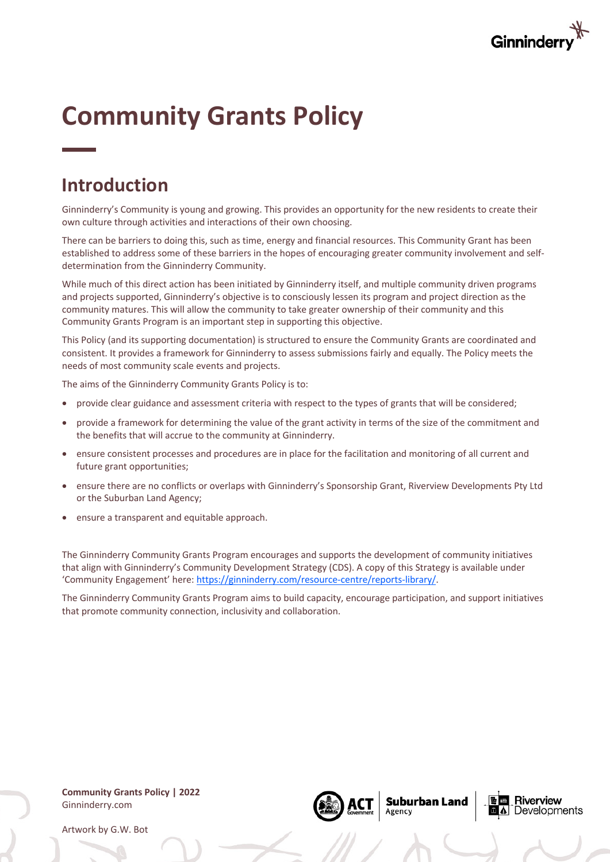

# **Community Grants Policy**

# **Introduction**

Ginninderry's Community is young and growing. This provides an opportunity for the new residents to create their own culture through activities and interactions of their own choosing.

There can be barriers to doing this, such as time, energy and financial resources. This Community Grant has been established to address some of these barriers in the hopes of encouraging greater community involvement and selfdetermination from the Ginninderry Community.

While much of this direct action has been initiated by Ginninderry itself, and multiple community driven programs and projects supported, Ginninderry's objective is to consciously lessen its program and project direction as the community matures. This will allow the community to take greater ownership of their community and this Community Grants Program is an important step in supporting this objective.

This Policy (and its supporting documentation) is structured to ensure the Community Grants are coordinated and consistent. It provides a framework for Ginninderry to assess submissions fairly and equally. The Policy meets the needs of most community scale events and projects.

The aims of the Ginninderry Community Grants Policy is to:

- provide clear guidance and assessment criteria with respect to the types of grants that will be considered;
- provide a framework for determining the value of the grant activity in terms of the size of the commitment and the benefits that will accrue to the community at Ginninderry.
- ensure consistent processes and procedures are in place for the facilitation and monitoring of all current and future grant opportunities;
- ensure there are no conflicts or overlaps with Ginninderry's Sponsorship Grant, Riverview Developments Pty Ltd or the Suburban Land Agency;
- ensure a transparent and equitable approach.

The Ginninderry Community Grants Program encourages and supports the development of community initiatives that align with Ginninderry's Community Development Strategy (CDS). A copy of this Strategy is available under 'Community Engagement' here: https://ginninderry.com/resource-centre/reports-library/.

The Ginninderry Community Grants Program aims to build capacity, encourage participation, and support initiatives that promote community connection, inclusivity and collaboration.

**Community Grants Policy | 2022** Ginninderry.com

Artwork by G.W. Bot



**Suburban Land** Agency

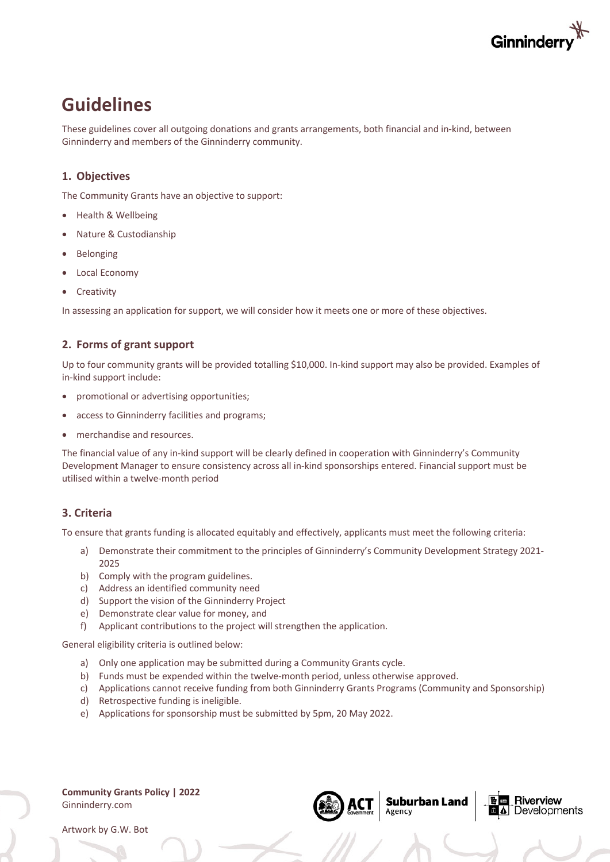

# **Guidelines**

These guidelines cover all outgoing donations and grants arrangements, both financial and in-kind, between Ginninderry and members of the Ginninderry community.

### **1. Objectives**

The Community Grants have an objective to support:

- Health & Wellbeing
- Nature & Custodianship
- **Belonging**
- Local Economy
- **Creativity**

In assessing an application for support, we will consider how it meets one or more of these objectives.

### **2. Forms of grant support**

Up to four community grants will be provided totalling \$10,000. In-kind support may also be provided. Examples of in-kind support include:

- promotional or advertising opportunities;
- access to Ginninderry facilities and programs;
- merchandise and resources.

The financial value of any in-kind support will be clearly defined in cooperation with Ginninderry's Community Development Manager to ensure consistency across all in-kind sponsorships entered. Financial support must be utilised within a twelve-month period

### **3. Criteria**

To ensure that grants funding is allocated equitably and effectively, applicants must meet the following criteria:

- a) Demonstrate their commitment to the principles of Ginninderry's Community Development Strategy 2021- 2025
- b) Comply with the program guidelines.
- c) Address an identified community need
- d) Support the vision of the Ginninderry Project
- e) Demonstrate clear value for money, and
- f) Applicant contributions to the project will strengthen the application.

General eligibility criteria is outlined below:

- a) Only one application may be submitted during a Community Grants cycle.
- b) Funds must be expended within the twelve-month period, unless otherwise approved.
- c) Applications cannot receive funding from both Ginninderry Grants Programs (Community and Sponsorship)
- d) Retrospective funding is ineligible.
- e) Applications for sponsorship must be submitted by 5pm, 20 May 2022.

**Community Grants Policy | 2022** Ginninderry.com



**Suburban Land** Agency

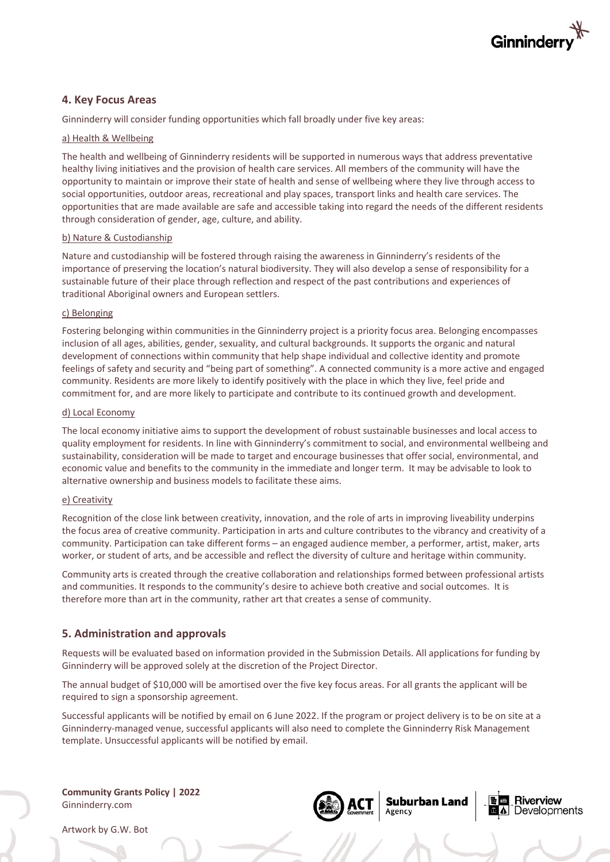

### **4. Key Focus Areas**

Ginninderry will consider funding opportunities which fall broadly under five key areas:

#### a) Health & Wellbeing

The health and wellbeing of Ginninderry residents will be supported in numerous ways that address preventative healthy living initiatives and the provision of health care services. All members of the community will have the opportunity to maintain or improve their state of health and sense of wellbeing where they live through access to social opportunities, outdoor areas, recreational and play spaces, transport links and health care services. The opportunities that are made available are safe and accessible taking into regard the needs of the different residents through consideration of gender, age, culture, and ability.

#### b) Nature & Custodianship

Nature and custodianship will be fostered through raising the awareness in Ginninderry's residents of the importance of preserving the location's natural biodiversity. They will also develop a sense of responsibility for a sustainable future of their place through reflection and respect of the past contributions and experiences of traditional Aboriginal owners and European settlers.

#### c) Belonging

Fostering belonging within communities in the Ginninderry project is a priority focus area. Belonging encompasses inclusion of all ages, abilities, gender, sexuality, and cultural backgrounds. It supports the organic and natural development of connections within community that help shape individual and collective identity and promote feelings of safety and security and "being part of something". A connected community is a more active and engaged community. Residents are more likely to identify positively with the place in which they live, feel pride and commitment for, and are more likely to participate and contribute to its continued growth and development.

#### d) Local Economy

The local economy initiative aims to support the development of robust sustainable businesses and local access to quality employment for residents. In line with Ginninderry's commitment to social, and environmental wellbeing and sustainability, consideration will be made to target and encourage businesses that offer social, environmental, and economic value and benefits to the community in the immediate and longer term. It may be advisable to look to alternative ownership and business models to facilitate these aims.

#### e) Creativity

Recognition of the close link between creativity, innovation, and the role of arts in improving liveability underpins the focus area of creative community. Participation in arts and culture contributes to the vibrancy and creativity of a community. Participation can take different forms – an engaged audience member, a performer, artist, maker, arts worker, or student of arts, and be accessible and reflect the diversity of culture and heritage within community.

Community arts is created through the creative collaboration and relationships formed between professional artists and communities. It responds to the community's desire to achieve both creative and social outcomes. It is therefore more than art in the community, rather art that creates a sense of community.

#### **5. Administration and approvals**

Requests will be evaluated based on information provided in the Submission Details. All applications for funding by Ginninderry will be approved solely at the discretion of the Project Director.

The annual budget of \$10,000 will be amortised over the five key focus areas. For all grants the applicant will be required to sign a sponsorship agreement.

Successful applicants will be notified by email on 6 June 2022. If the program or project delivery is to be on site at a Ginninderry-managed venue, successful applicants will also need to complete the Ginninderry Risk Management template. Unsuccessful applicants will be notified by email.

**Community Grants Policy | 2022** Ginninderry.com



**Suburban Land** 

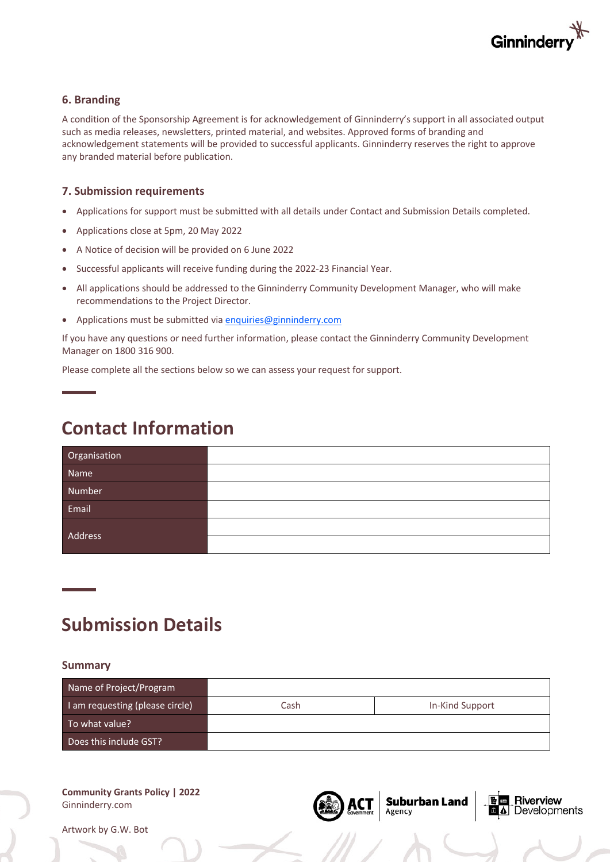

### **6. Branding**

A condition of the Sponsorship Agreement is for acknowledgement of Ginninderry's support in all associated output such as media releases, newsletters, printed material, and websites. Approved forms of branding and acknowledgement statements will be provided to successful applicants. Ginninderry reserves the right to approve any branded material before publication.

#### **7. Submission requirements**

- Applications for support must be submitted with all details under Contact and Submission Details completed.
- Applications close at 5pm, 20 May 2022
- A Notice of decision will be provided on 6 June 2022
- Successful applicants will receive funding during the 2022-23 Financial Year.
- All applications should be addressed to the Ginninderry Community Development Manager, who will make recommendations to the Project Director.
- Applications must be submitted via enquiries@ginninderry.com

If you have any questions or need further information, please contact the Ginninderry Community Development Manager on 1800 316 900.

Please complete all the sections below so we can assess your request for support.

# **Contact Information**

| Organisation |  |
|--------------|--|
| Name         |  |
| Number       |  |
| Email        |  |
| Address      |  |
|              |  |

# **Submission Details**

#### **Summary**

| Name of Project/Program         |      |                 |
|---------------------------------|------|-----------------|
| I am requesting (please circle) | Cash | In-Kind Support |
| To what value?                  |      |                 |
| Does this include GST?          |      |                 |

**Suburban Land**<br>Agency

Riverview Developments

#### **Community Grants Policy | 2022** Ginninderry.com

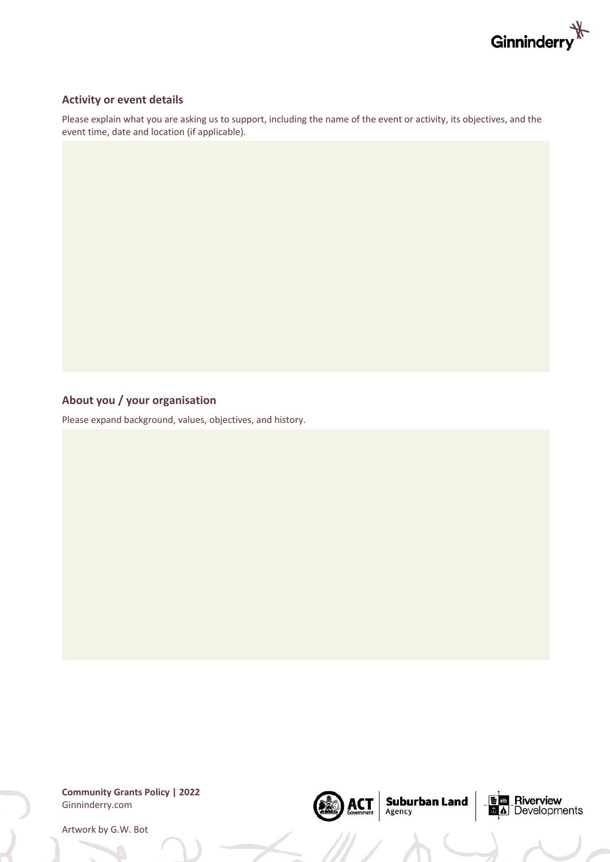

#### **Activity or event details**

Please explain what you are asking us to support, including the name of the event or activity, its objectives, and the event time, date and location (if applicable).

## **About you / your organisation**

Please expand background, values, objectives, and history.

**Community Grants Policy | 2022** Ginninderry.com

 $\text{ACT}_{\text{Government}}$  Suburban Land

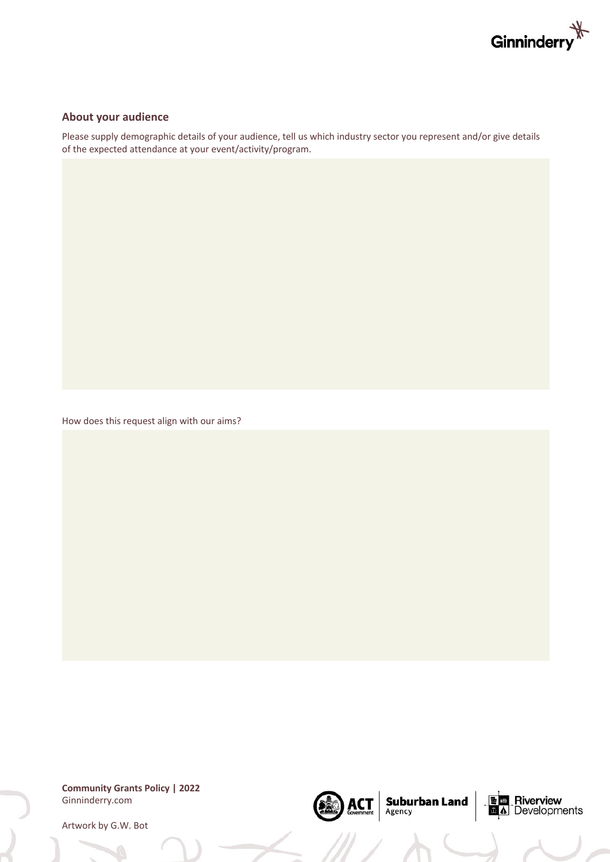

#### **About your audience**

Please supply demographic details of your audience, tell us which industry sector you represent and/or give details of the expected attendance at your event/activity/program.

 $\left|\underset{\text{Government}}{\text{ACT}}\right|$  Suburban Land

B

**DE B** Riverview<br>**D** A Developments

How does this request align with our aims?

**Community Grants Policy | 2022** Ginninderry.com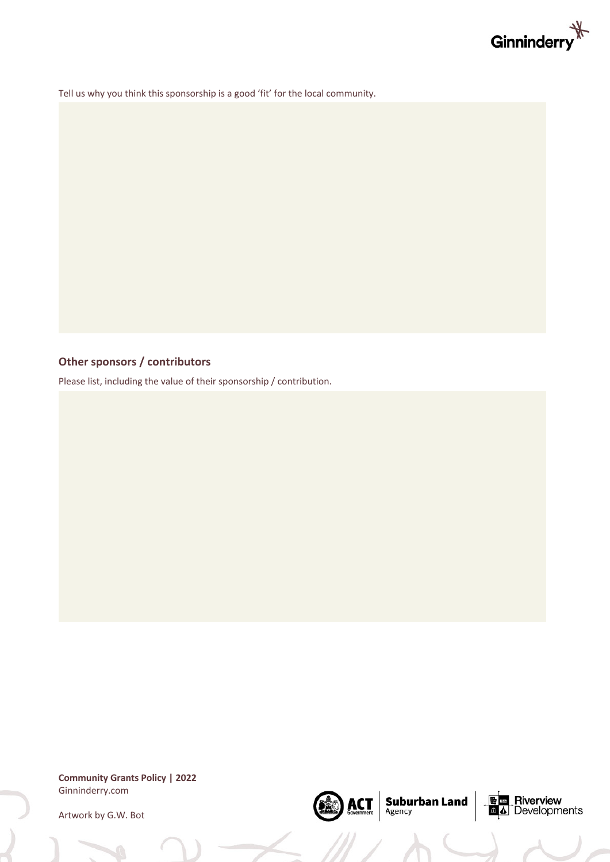

Tell us why you think this sponsorship is a good 'fit' for the local community.

# **Other sponsors / contributors**

Please list, including the value of their sponsorship / contribution.

**Community Grants Policy | 2022** Ginninderry.com



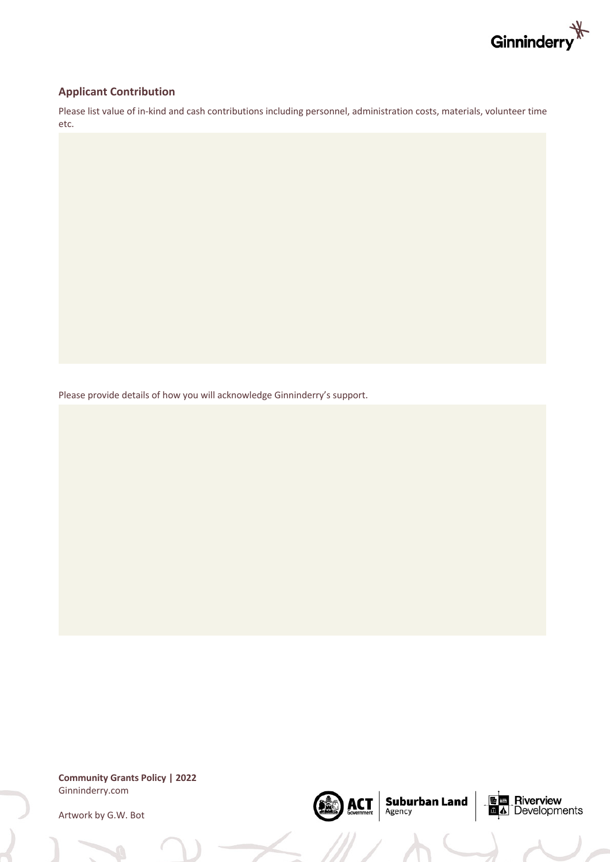

### **Applicant Contribution**

Please list value of in-kind and cash contributions including personnel, administration costs, materials, volunteer time etc.

 $\left|\underset{\text{Government}}{\text{ACT}}\right|$  Suburban Land

(DEC)

**E E** Riverview<br>**E** A Developments

Please provide details of how you will acknowledge Ginninderry's support.

**Community Grants Policy | 2022** Ginninderry.com